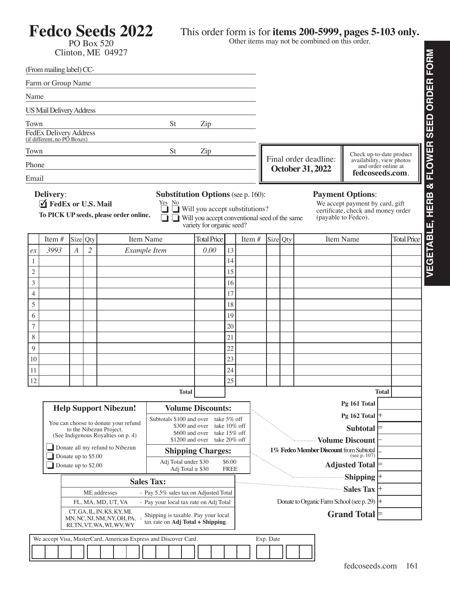## **Fedco Seeds 2022**

## PO Box 520 Clinton, ME 04927

## This order form is for **items 200-5999, pages 5-103 only.**

Other items may not be combined on this order.

|                                                                                                                                       | (From mailing label) CC-                                                                    |                                                                     |                |              |  |  |  |  |                    |                                                                  |                              |                          |          |                                                                                                                                  |                                                                    |                                                        |  |  |           |                                                                                                                         |                 |                    |              |  |
|---------------------------------------------------------------------------------------------------------------------------------------|---------------------------------------------------------------------------------------------|---------------------------------------------------------------------|----------------|--------------|--|--|--|--|--------------------|------------------------------------------------------------------|------------------------------|--------------------------|----------|----------------------------------------------------------------------------------------------------------------------------------|--------------------------------------------------------------------|--------------------------------------------------------|--|--|-----------|-------------------------------------------------------------------------------------------------------------------------|-----------------|--------------------|--------------|--|
| Farm or Group Name                                                                                                                    |                                                                                             |                                                                     |                |              |  |  |  |  |                    |                                                                  |                              |                          |          |                                                                                                                                  |                                                                    |                                                        |  |  |           |                                                                                                                         |                 |                    |              |  |
| Name                                                                                                                                  |                                                                                             |                                                                     |                |              |  |  |  |  |                    |                                                                  |                              |                          |          |                                                                                                                                  |                                                                    |                                                        |  |  |           |                                                                                                                         |                 |                    |              |  |
| <b>US Mail Delivery Address</b>                                                                                                       |                                                                                             |                                                                     |                |              |  |  |  |  |                    |                                                                  |                              |                          |          |                                                                                                                                  |                                                                    |                                                        |  |  |           |                                                                                                                         |                 |                    |              |  |
| Town                                                                                                                                  |                                                                                             |                                                                     |                |              |  |  |  |  | St                 |                                                                  | Zip                          |                          |          |                                                                                                                                  |                                                                    |                                                        |  |  |           |                                                                                                                         |                 |                    |              |  |
| FedEx Delivery Address<br>(if different, no PO Boxes)                                                                                 |                                                                                             |                                                                     |                |              |  |  |  |  |                    |                                                                  |                              |                          |          |                                                                                                                                  |                                                                    |                                                        |  |  |           |                                                                                                                         |                 |                    |              |  |
| St<br>Town<br>Zip                                                                                                                     |                                                                                             |                                                                     |                |              |  |  |  |  |                    |                                                                  |                              |                          |          |                                                                                                                                  |                                                                    |                                                        |  |  |           |                                                                                                                         |                 |                    |              |  |
| Phone                                                                                                                                 |                                                                                             |                                                                     |                |              |  |  |  |  |                    |                                                                  |                              |                          |          | Check up-to-date product<br>Final order deadline:<br>availability, view photos<br>and order online at<br><b>October 31, 2022</b> |                                                                    |                                                        |  |  |           |                                                                                                                         |                 |                    |              |  |
|                                                                                                                                       | Email                                                                                       |                                                                     |                |              |  |  |  |  |                    |                                                                  |                              |                          |          | fedcoseeds.com.                                                                                                                  |                                                                    |                                                        |  |  |           |                                                                                                                         |                 |                    |              |  |
|                                                                                                                                       | <b>Delivery:</b><br>FedEx or U.S. Mail<br>To PICK UP seeds, please order online.            |                                                                     |                |              |  |  |  |  | Yes No             |                                                                  | variety for organic seed?    |                          |          | <b>Substitution Options</b> (see p. 160):<br>Will you accept substitutions?<br>Will you accept conventional seed of the same     |                                                                    |                                                        |  |  |           | <b>Payment Options:</b><br>We accept payment by card, gift<br>certificate, check and money order<br>(payable to Fedco). |                 |                    |              |  |
|                                                                                                                                       | Item#                                                                                       | Size<br>Item Name<br>Qty                                            |                |              |  |  |  |  | <b>Total Price</b> |                                                                  |                              | Item $#$                 |          |                                                                                                                                  | Size Qty                                                           |                                                        |  |  | Item Name |                                                                                                                         |                 | <b>Total Price</b> |              |  |
| ex                                                                                                                                    | 3993                                                                                        | A                                                                   | $\overline{c}$ | Example Item |  |  |  |  |                    | 0.00                                                             |                              | 13                       |          |                                                                                                                                  |                                                                    |                                                        |  |  |           |                                                                                                                         |                 |                    |              |  |
| 1                                                                                                                                     |                                                                                             |                                                                     |                |              |  |  |  |  |                    |                                                                  |                              | 14                       |          |                                                                                                                                  |                                                                    |                                                        |  |  |           |                                                                                                                         |                 |                    |              |  |
| 2<br>3                                                                                                                                |                                                                                             |                                                                     |                |              |  |  |  |  |                    |                                                                  |                              |                          | 15<br>16 |                                                                                                                                  |                                                                    |                                                        |  |  |           |                                                                                                                         |                 |                    |              |  |
| 4                                                                                                                                     |                                                                                             |                                                                     |                |              |  |  |  |  |                    |                                                                  |                              |                          | 17       |                                                                                                                                  |                                                                    |                                                        |  |  |           |                                                                                                                         |                 |                    |              |  |
| 5                                                                                                                                     |                                                                                             |                                                                     |                |              |  |  |  |  |                    |                                                                  |                              |                          | 18       |                                                                                                                                  |                                                                    |                                                        |  |  |           |                                                                                                                         |                 |                    |              |  |
| 6                                                                                                                                     |                                                                                             |                                                                     |                |              |  |  |  |  |                    |                                                                  |                              |                          | 19       |                                                                                                                                  |                                                                    |                                                        |  |  |           |                                                                                                                         |                 |                    |              |  |
| 7                                                                                                                                     |                                                                                             |                                                                     |                |              |  |  |  |  |                    |                                                                  |                              |                          | 20       |                                                                                                                                  |                                                                    |                                                        |  |  |           |                                                                                                                         |                 |                    |              |  |
| 8                                                                                                                                     |                                                                                             |                                                                     |                |              |  |  |  |  |                    |                                                                  |                              |                          | 21       |                                                                                                                                  |                                                                    |                                                        |  |  |           |                                                                                                                         |                 |                    |              |  |
| 9                                                                                                                                     |                                                                                             |                                                                     |                |              |  |  |  |  |                    |                                                                  |                              |                          | 22       |                                                                                                                                  |                                                                    |                                                        |  |  |           |                                                                                                                         |                 |                    |              |  |
| 10<br>11                                                                                                                              |                                                                                             |                                                                     |                |              |  |  |  |  |                    |                                                                  |                              |                          | 23<br>24 |                                                                                                                                  |                                                                    |                                                        |  |  |           |                                                                                                                         |                 |                    |              |  |
| 12                                                                                                                                    |                                                                                             |                                                                     |                |              |  |  |  |  |                    |                                                                  |                              | 25                       |          |                                                                                                                                  |                                                                    |                                                        |  |  |           |                                                                                                                         |                 |                    |              |  |
|                                                                                                                                       |                                                                                             | <b>Total</b>                                                        |                |              |  |  |  |  |                    |                                                                  |                              |                          |          |                                                                                                                                  |                                                                    |                                                        |  |  |           |                                                                                                                         |                 |                    | <b>Total</b> |  |
|                                                                                                                                       |                                                                                             | <b>Help Support Nibezun!</b>                                        |                |              |  |  |  |  |                    |                                                                  | <b>Volume Discounts:</b>     |                          |          |                                                                                                                                  |                                                                    |                                                        |  |  |           |                                                                                                                         | Pg 161 Total    |                    |              |  |
|                                                                                                                                       |                                                                                             | You can choose to donate your refund                                |                |              |  |  |  |  |                    | Subtotals \$100 and over<br>take 5% off                          |                              |                          |          |                                                                                                                                  |                                                                    | Pg 162 Total $ +$                                      |  |  |           |                                                                                                                         |                 |                    |              |  |
|                                                                                                                                       | to the Nibezun Project.<br>(See Indigenous Royalties on p. 4)                               |                                                                     |                |              |  |  |  |  |                    | \$300 and over<br>take 10% off<br>\$600 and over<br>take 15% off |                              |                          |          |                                                                                                                                  |                                                                    |                                                        |  |  |           |                                                                                                                         | <b>Subtotal</b> |                    |              |  |
|                                                                                                                                       | Donate all my refund to Nibezun                                                             |                                                                     |                |              |  |  |  |  |                    |                                                                  | \$1200 and over take 20% off |                          |          |                                                                                                                                  |                                                                    |                                                        |  |  |           | · Volume Discount                                                                                                       |                 |                    |              |  |
|                                                                                                                                       |                                                                                             | Donate up to \$5.00                                                 |                |              |  |  |  |  |                    |                                                                  |                              | <b>Shipping Charges:</b> |          |                                                                                                                                  |                                                                    | 1% Fedco Member Discount from Subtotal<br>(see p. 107) |  |  |           |                                                                                                                         |                 |                    |              |  |
|                                                                                                                                       |                                                                                             | Adj Total under \$30<br>Donate up to \$2.00<br>Adj Total $\ge$ \$30 |                |              |  |  |  |  |                    |                                                                  | \$6.00<br><b>FREE</b>        |                          |          |                                                                                                                                  |                                                                    | <b>Adjusted Total</b>                                  |  |  |           |                                                                                                                         |                 |                    |              |  |
|                                                                                                                                       |                                                                                             | <b>Sales Tax:</b>                                                   |                |              |  |  |  |  |                    |                                                                  |                              |                          |          |                                                                                                                                  |                                                                    |                                                        |  |  |           | $\cdot$ Shipping $ +$                                                                                                   |                 |                    |              |  |
|                                                                                                                                       |                                                                                             | ME addresses<br>- Pay 5.5% sales tax on Adjusted Total              |                |              |  |  |  |  |                    |                                                                  |                              |                          |          |                                                                                                                                  |                                                                    | Sales Tax $ +$                                         |  |  |           |                                                                                                                         |                 |                    |              |  |
|                                                                                                                                       | FL, MA, MD, UT, VA<br>- Pay your local tax rate on Adj Total<br>CT, GA, IL, IN, KS, KY, MI, |                                                                     |                |              |  |  |  |  |                    |                                                                  |                              |                          |          |                                                                                                                                  | Donate to Organic Farm School (see p. 29)  +<br><b>Grand Total</b> |                                                        |  |  |           |                                                                                                                         |                 |                    |              |  |
| Shipping is taxable. Pay your local<br>MN, NC, NJ, NM, NY, OH, PA,<br>tax rate on Adj Total + Shipping.<br>RI, TN, VT, WA, WI, WV, WY |                                                                                             |                                                                     |                |              |  |  |  |  |                    |                                                                  |                              |                          |          |                                                                                                                                  |                                                                    |                                                        |  |  |           |                                                                                                                         |                 |                    |              |  |
|                                                                                                                                       | We accept Visa, MasterCard, American Express and Discover Card.                             |                                                                     |                |              |  |  |  |  |                    |                                                                  |                              |                          |          |                                                                                                                                  |                                                                    | Exp. Date                                              |  |  |           |                                                                                                                         |                 |                    |              |  |
|                                                                                                                                       |                                                                                             |                                                                     |                |              |  |  |  |  |                    |                                                                  |                              |                          |          |                                                                                                                                  |                                                                    |                                                        |  |  |           |                                                                                                                         |                 |                    |              |  |

**VEGETABLE, HERB & FLOWER SEED ORDER FORM**